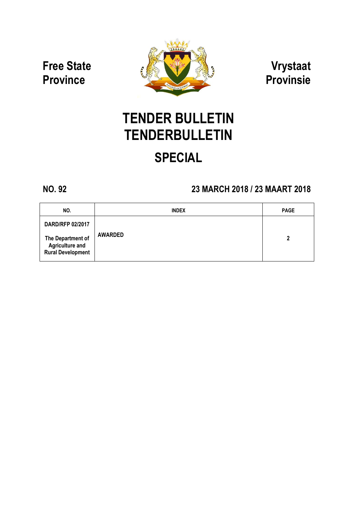Free State **Province** 



Vrystaat Provinsie

# TENDER BULLETIN **TENDERBULLETIN**

## SPECIAL

## NO. 92 23 MARCH 2018 / 23 MAART 2018

| NO.                                                | <b>INDEX</b>   | <b>PAGE</b> |
|----------------------------------------------------|----------------|-------------|
| <b>DARD/RFP 02/2017</b><br>The Department of       | <b>AWARDED</b> | 2           |
| <b>Agriculture and</b><br><b>Rural Development</b> |                |             |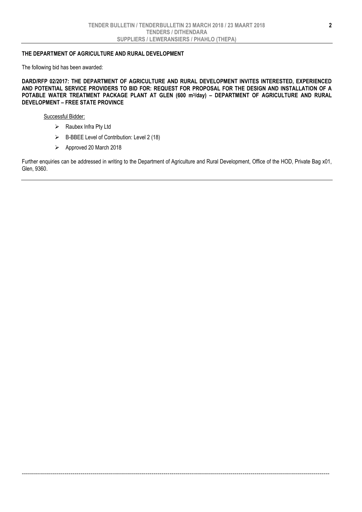### THE DEPARTMENT OF AGRICULTURE AND RURAL DEVELOPMENT

The following bid has been awarded:

DARD/RFP 02/2017: THE DEPARTMENT OF AGRICULTURE AND RURAL DEVELOPMENT INVITES INTERESTED, EXPERIENCED AND POTENTIAL SERVICE PROVIDERS TO BID FOR: REQUEST FOR PROPOSAL FOR THE DESIGN AND INSTALLATION OF A POTABLE WATER TREATMENT PACKAGE PLANT AT GLEN (600 m<sup>3</sup>/day) - DEPARTMENT OF AGRICULTURE AND RURAL DEVELOPMENT – FREE STATE PROVINCE

Successful Bidder:

- > Raubex Infra Pty Ltd
- $\triangleright$  B-BBEE Level of Contribution: Level 2 (18)
- Approved 20 March 2018

Further enquiries can be addressed in writing to the Department of Agriculture and Rural Development, Office of the HOD, Private Bag x01, Glen, 9360.

--------------------------------------------------------------------------------------------------------------------------------------------------------